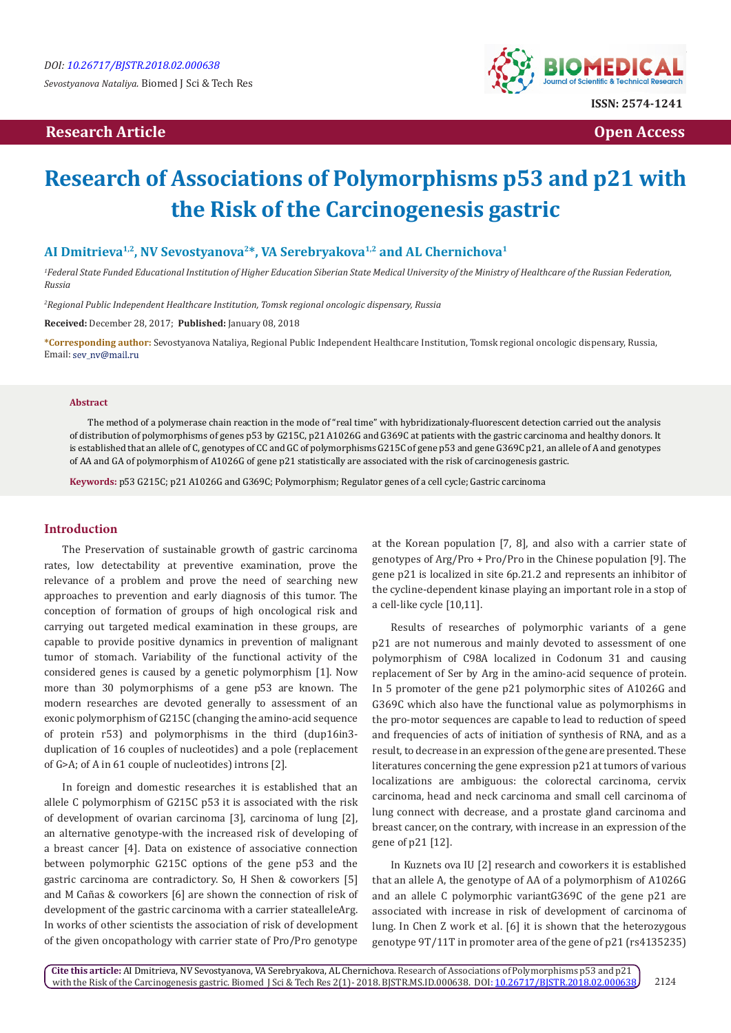*Sevostyanova Nataliya.* Biomed J Sci & Tech Res

## **Research Article Open Access Contract Article Open Access Open Access Open Access**



# **Research of Associations of Polymorphisms p53 and p21 with the Risk of the Carcinogenesis gastric**

## **AI Dmitrieva1,2, NV Sevostyanova2\*, VA Serebryakova1,2 and AL Chernichova1**

*1 Federal State Funded Educational Institution of Higher Education Siberian State Medical University of the Ministry of Healthcare of the Russian Federation, Russia*

*2 Regional Public Independent Healthcare Institution, Tomsk regional oncologic dispensary, Russia*

**Received:** December 28, 2017; **Published:** January 08, 2018

**\*Corresponding author:** Sevostyanova Nataliya, Regional Public Independent Healthcare Institution, Tomsk regional oncologic dispensary, Russia, Email: sev\_nv@mail.ru

#### **Abstract**

The method of a polymerase chain reaction in the mode of "real time" with hybridizationaly-fluorescent detection carried out the analysis of distribution of polymorphisms of genes p53 by G215C, p21 A1026G and G369C at patients with the gastric carcinoma and healthy donors. It is established that an allele of C, genotypes of CC and GC of polymorphisms G215C of gene p53 and gene G369C p21, an allele of A and genotypes of AA and GA of polymorphism of A1026G of gene p21 statistically are associated with the risk of carcinogenesis gastric.

**Keywords:** p53 G215C; p21 A1026G and G369C; Polymorphism; Regulator genes of a cell cycle; Gastric carcinoma

## **Introduction**

The Preservation of sustainable growth of gastric carcinoma rates, low detectability at preventive examination, prove the relevance of a problem and prove the need of searching new approaches to prevention and early diagnosis of this tumor. The conception of formation of groups of high oncological risk and carrying out targeted medical examination in these groups, are capable to provide positive dynamics in prevention of malignant tumor of stomach. Variability of the functional activity of the considered genes is caused by a genetic polymorphism [1]. Now more than 30 polymorphisms of a gene p53 are known. The modern researches are devoted generally to assessment of an exonic polymorphism of G215C (changing the amino-acid sequence of protein r53) and polymorphisms in the third (dup16in3 duplication of 16 couples of nucleotides) and a pole (replacement of G>A; of A in 61 couple of nucleotides) introns [2].

In foreign and domestic researches it is established that an allele C polymorphism of G215C p53 it is associated with the risk of development of ovarian carcinoma [3], carcinoma of lung [2], an alternative genotype-with the increased risk of developing of a breast cancer [4]. Data on existence of associative connection between polymorphic G215C options of the gene p53 and the gastric carcinoma are contradictory. So, H Shen & coworkers [5] and M Cañas & coworkers [6] are shown the connection of risk of development of the gastric carcinoma with a carrier statealleleArg. In works of other scientists the association of risk of development of the given oncopathology with carrier state of Pro/Pro genotype

at the Korean population [7, 8], and also with a carrier state of genotypes of Arg/Pro + Pro/Pro in the Chinese population [9]. The gene p21 is localized in site 6p.21.2 and represents an inhibitor of the cycline-dependent kinase playing an important role in a stop of a cell-like cycle [10,11].

Results of researches of polymorphic variants of a gene p21 are not numerous and mainly devoted to assessment of one polymorphism of C98A localized in Codonum 31 and causing replacement of Ser by Arg in the amino-acid sequence of protein. In 5 promoter of the gene p21 polymorphic sites of A1026G and G369C which also have the functional value as polymorphisms in the pro-motor sequences are capable to lead to reduction of speed and frequencies of acts of initiation of synthesis of RNA, and as a result, to decrease in an expression of the gene are presented. These literatures concerning the gene expression p21 at tumors of various localizations are ambiguous: the colorectal carcinoma, cervix carcinoma, head and neck carcinoma and small cell carcinoma of lung connect with decrease, and a prostate gland carcinoma and breast cancer, on the contrary, with increase in an expression of the gene of p21 [12].

In Kuznets ova IU [2] research and coworkers it is established that an allele A, the genotype of AA of a polymorphism of A1026G and an allele C polymorphic variantG369C of the gene p21 are associated with increase in risk of development of carcinoma of lung. In Chen Z work et al. [6] it is shown that the heterozygous genotype 9T/11T in promoter area of the gene of p21 (rs4135235)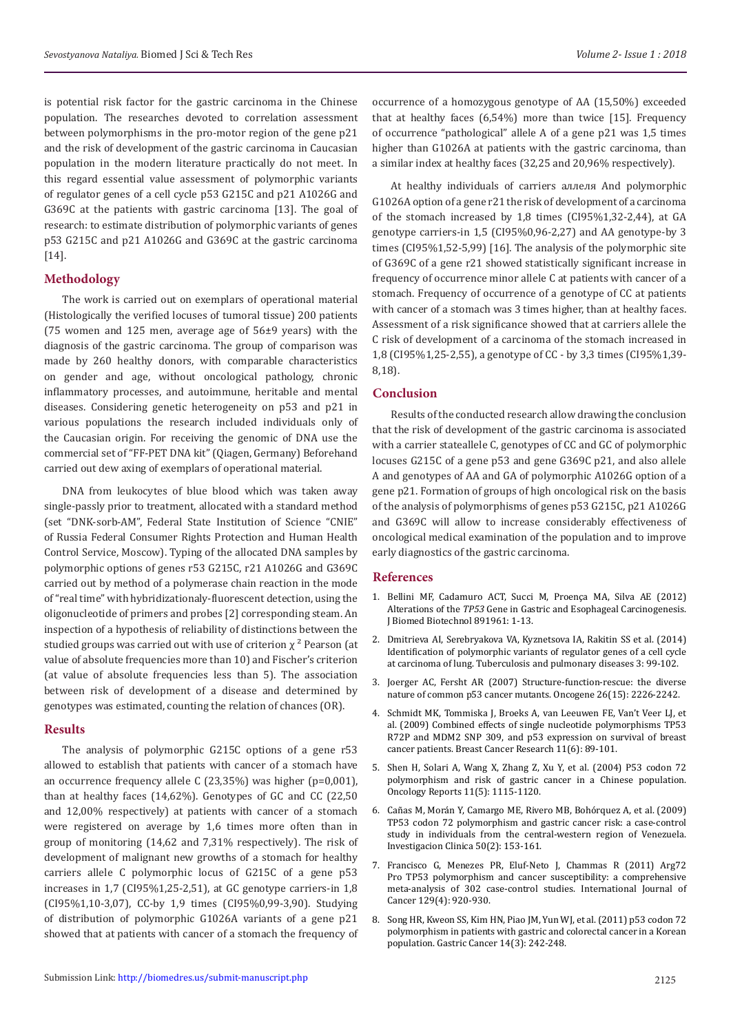is potential risk factor for the gastric carcinoma in the Chinese population. The researches devoted to correlation assessment between polymorphisms in the pro-motor region of the gene p21 and the risk of development of the gastric carcinoma in Caucasian population in the modern literature practically do not meet. In this regard essential value assessment of polymorphic variants of regulator genes of a cell cycle p53 G215C and p21 A1026G and G369C at the patients with gastric carcinoma [13]. The goal of research: to estimate distribution of polymorphic variants of genes p53 G215C and p21 A1026G and G369C at the gastric carcinoma [14].

### **Methodology**

The work is carried out on exemplars of operational material (Histologically the verified locuses of tumoral tissue) 200 patients (75 women and 125 men, average age of 56±9 years) with the diagnosis of the gastric carcinoma. The group of comparison was made by 260 healthy donors, with comparable characteristics on gender and age, without oncological pathology, chronic inflammatory processes, and autoimmune, heritable and mental diseases. Considering genetic heterogeneity on p53 and p21 in various populations the research included individuals only of the Caucasian origin. For receiving the genomic of DNA use the commercial set of "FF-PET DNA kit" (Qiagen, Germany) Beforehand carried out dew axing of exemplars of operational material.

DNA from leukocytes of blue blood which was taken away single-passly prior to treatment, allocated with a standard method (set "DNK-sorb-AM", Federal State Institution of Science "CNIE" of Russia Federal Consumer Rights Protection and Human Health Control Service, Moscow). Typing of the allocated DNA samples by polymorphic options of genes r53 G215C, r21 A1026G and G369C carried out by method of a polymerase chain reaction in the mode of "real time" with hybridizationaly-fluorescent detection, using the oligonucleotide of primers and probes [2] corresponding steam. An inspection of a hypothesis of reliability of distinctions between the studied groups was carried out with use of criterion  $\chi^2$  Pearson (at value of absolute frequencies more than 10) and Fischer's criterion (at value of absolute frequencies less than 5). The association between risk of development of a disease and determined by genotypes was estimated, counting the relation of chances (OR).

#### **Results**

The analysis of polymorphic G215C options of a gene r53 allowed to establish that patients with cancer of a stomach have an occurrence frequency allele C (23,35%) was higher (p=0,001), than at healthy faces (14,62%). Genotypes of GC and CC (22,50 and 12,00% respectively) at patients with cancer of a stomach were registered on average by 1,6 times more often than in group of monitoring (14,62 and 7,31% respectively). The risk of development of malignant new growths of a stomach for healthy carriers allele C polymorphic locus of G215C of a gene p53 increases in 1,7 (CI95%1,25-2,51), at GC genotype carriers-in 1,8 (CI95%1,10-3,07), CC-by 1,9 times (CI95%0,99-3,90). Studying of distribution of polymorphic G1026A variants of a gene p21 showed that at patients with cancer of a stomach the frequency of occurrence of a homozygous genotype of AA (15,50%) exceeded that at healthy faces (6,54%) more than twice [15]. Frequency of occurrence "pathological" allele A of a gene p21 was 1,5 times higher than G1026A at patients with the gastric carcinoma, than a similar index at healthy faces (32,25 and 20,96% respectively).

At healthy individuals of carriers аллеля And polymorphic G1026A option of a gene r21 the risk of development of a carcinoma of the stomach increased by 1,8 times (CI95%1,32-2,44), at GA genotype carriers-in 1,5 (CI95%0,96-2,27) and AA genotype-by 3 times (CI95%1,52-5,99) [16]. The analysis of the polymorphic site of G369C of a gene r21 showed statistically significant increase in frequency of occurrence minor allele C at patients with cancer of a stomach. Frequency of occurrence of a genotype of CC at patients with cancer of a stomach was 3 times higher, than at healthy faces. Assessment of a risk significance showed that at carriers allele the C risk of development of a carcinoma of the stomach increased in 1,8 (CI95%1,25-2,55), a genotype of CC - by 3,3 times (CI95%1,39- 8,18).

## **Conclusion**

Results of the conducted research allow drawing the conclusion that the risk of development of the gastric carcinoma is associated with a carrier stateallele C, genotypes of CC and GC of polymorphic locuses G215C of a gene p53 and gene G369C p21, and also allele A and genotypes of AA and GA of polymorphic A1026G option of a gene p21. Formation of groups of high oncological risk on the basis of the analysis of polymorphisms of genes p53 G215C, p21 A1026G and G369C will allow to increase considerably effectiveness of oncological medical examination of the population and to improve early diagnostics of the gastric carcinoma.

#### **References**

- 1. [Bellini MF, Cadamuro ACT, Succi M, Proença MA, Silva AE \(2012\)](https://www.hindawi.com/journals/bmri/2012/891961/) Alterations of the *TP53* [Gene in Gastric and Esophageal Carcinogenesis.](https://www.hindawi.com/journals/bmri/2012/891961/) [J Biomed Biotechnol 891961: 1-13.](https://www.hindawi.com/journals/bmri/2012/891961/)
- 2. Dmitrieva AI, Serebryakova VA, Kyznetsova IA, Rakitin SS et al. (2014) Identification of polymorphic variants of regulator genes of a cell cycle at carcinoma of lung. Tuberculosis and pulmonary diseases 3: 99-102.
- 3. [Joerger AC, Fersht AR \(2007\) Structure-function-rescue: the diverse](https://www.ncbi.nlm.nih.gov/pubmed/17401432) [nature of common p53 cancer mutants. Oncogene 26\(15\): 2226-2242.](https://www.ncbi.nlm.nih.gov/pubmed/17401432)
- 4. [Schmidt MK, Tommiska J, Broeks A, van Leeuwen FE, Van't Veer LJ, et](https://www.ncbi.nlm.nih.gov/pubmed/20021639) [al. \(2009\) Combined effects of single nucleotide polymorphisms TP53](https://www.ncbi.nlm.nih.gov/pubmed/20021639) [R72P and MDM2 SNP 309, and p53 expression on survival of breast](https://www.ncbi.nlm.nih.gov/pubmed/20021639) [cancer patients. Breast Cancer Research 11\(6\): 89-101.](https://www.ncbi.nlm.nih.gov/pubmed/20021639)
- 5. [Shen H, Solari A, Wang X, Zhang Z, Xu Y, et al. \(2004\) P53 codon 72](https://www.ncbi.nlm.nih.gov/pubmed/15069555) [polymorphism and risk of gastric cancer in a Chinese population.](https://www.ncbi.nlm.nih.gov/pubmed/15069555) [Oncology Reports 11\(5\): 1115-1120.](https://www.ncbi.nlm.nih.gov/pubmed/15069555)
- 6. [Cañas M, Morán Y, Camargo ME, Rivero MB, Bohórquez A, et al. \(2009\)](https://www.ncbi.nlm.nih.gov/pubmed/19662811) TP53 [codon 72 polymorphism and gastric cancer risk: a case-control](https://www.ncbi.nlm.nih.gov/pubmed/19662811) [study in individuals from the central-western region of Venezuela.](https://www.ncbi.nlm.nih.gov/pubmed/19662811) [Investigacion Clinica 50\(2\): 153-161.](https://www.ncbi.nlm.nih.gov/pubmed/19662811)
- 7. [Francisco G, Menezes PR, Eluf-Neto J, Chammas R \(2011\) Arg72](https://www.ncbi.nlm.nih.gov/pubmed/20886596) Pro TP53 [polymorphism and cancer susceptibility: a comprehensive](https://www.ncbi.nlm.nih.gov/pubmed/20886596) [meta-analysis of 302 case-control studies. International Journal of](https://www.ncbi.nlm.nih.gov/pubmed/20886596) [Cancer 129\(4\): 920-930.](https://www.ncbi.nlm.nih.gov/pubmed/20886596)
- 8. [Song HR, Kweon SS, Kim HN, Piao JM, Yun WJ, et al. \(2011\) p53 codon 72](https://www.ncbi.nlm.nih.gov/pubmed/21461655) [polymorphism in patients with gastric and colorectal cancer in a Korean](https://www.ncbi.nlm.nih.gov/pubmed/21461655) [population. Gastric Cancer 14\(3\): 242-248.](https://www.ncbi.nlm.nih.gov/pubmed/21461655)